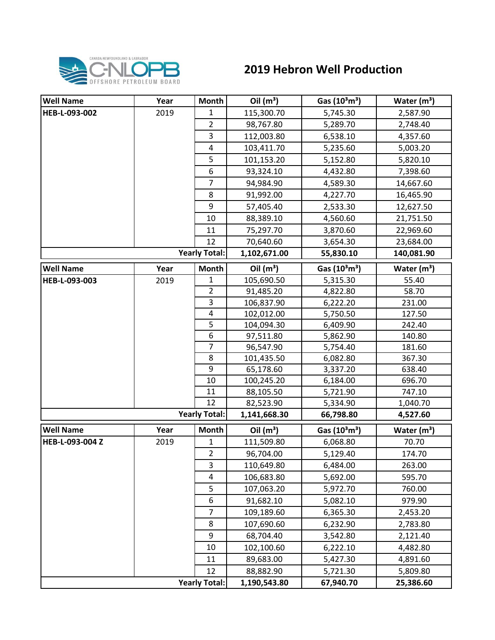

## **2019 Hebron Well Production**

| <b>Well Name</b> | Year | <b>Month</b>         | Oil $(m^3)$  | Gas $(10^3 \text{m}^3)$ | Water $(m^3)$ |
|------------------|------|----------------------|--------------|-------------------------|---------------|
| HEB-L-093-002    | 2019 | $\mathbf{1}$         | 115,300.70   | 5,745.30                | 2,587.90      |
|                  |      | $\overline{2}$       | 98,767.80    | 5,289.70                | 2,748.40      |
|                  |      | 3                    | 112,003.80   | 6,538.10                | 4,357.60      |
|                  |      | 4                    | 103,411.70   | 5,235.60                | 5,003.20      |
|                  |      | 5                    | 101,153.20   | 5,152.80                | 5,820.10      |
|                  |      | 6                    | 93,324.10    | 4,432.80                | 7,398.60      |
|                  |      | $\overline{7}$       | 94,984.90    | 4,589.30                | 14,667.60     |
|                  |      | 8                    | 91,992.00    | 4,227.70                | 16,465.90     |
|                  |      | 9                    | 57,405.40    | 2,533.30                | 12,627.50     |
|                  |      | 10                   | 88,389.10    | 4,560.60                | 21,751.50     |
|                  |      | 11                   | 75,297.70    | 3,870.60                | 22,969.60     |
|                  |      | 12                   | 70,640.60    | 3,654.30                | 23,684.00     |
|                  |      | <b>Yearly Total:</b> | 1,102,671.00 | 55,830.10               | 140,081.90    |
| <b>Well Name</b> | Year | <b>Month</b>         | Oil $(m^3)$  | Gas $(10^3 \text{m}^3)$ | Water $(m^3)$ |
| HEB-L-093-003    | 2019 | 1                    | 105,690.50   | 5,315.30                | 55.40         |
|                  |      | $\overline{2}$       | 91,485.20    | 4,822.80                | 58.70         |
|                  |      | 3                    | 106,837.90   | 6,222.20                | 231.00        |
|                  |      | 4                    | 102,012.00   | 5,750.50                | 127.50        |
|                  |      | 5                    | 104,094.30   | 6,409.90                | 242.40        |
|                  |      | 6                    | 97,511.80    | 5,862.90                | 140.80        |
|                  |      | $\overline{7}$       | 96,547.90    | 5,754.40                | 181.60        |
|                  |      | 8                    | 101,435.50   | 6,082.80                | 367.30        |
|                  |      | 9                    | 65,178.60    | 3,337.20                | 638.40        |
|                  |      | 10                   | 100,245.20   | 6,184.00                | 696.70        |
|                  |      | 11                   | 88,105.50    | 5,721.90                | 747.10        |
|                  |      | 12                   | 82,523.90    | 5,334.90                | 1,040.70      |
|                  |      | <b>Yearly Total:</b> | 1,141,668.30 | 66,798.80               | 4,527.60      |
| <b>Well Name</b> | Year | <b>Month</b>         | Oil $(m^3)$  | Gas $(10^3 \text{m}^3)$ | Water $(m^3)$ |
| HEB-L-093-004 Z  | 2019 | 1                    | 111,509.80   | 6,068.80                | 70.70         |
|                  |      | $\overline{2}$       | 96,704.00    | 5,129.40                | 174.70        |
|                  |      | 3                    | 110,649.80   | 6,484.00                | 263.00        |
|                  |      | 4                    | 106,683.80   | 5,692.00                | 595.70        |
|                  |      | 5                    | 107,063.20   | 5,972.70                | 760.00        |
|                  |      | 6                    | 91,682.10    | 5,082.10                | 979.90        |
|                  |      | 7                    | 109,189.60   | 6,365.30                | 2,453.20      |
|                  |      | 8                    | 107,690.60   | 6,232.90                | 2,783.80      |
|                  |      | 9                    | 68,704.40    | 3,542.80                | 2,121.40      |
|                  |      | 10                   | 102,100.60   | 6,222.10                | 4,482.80      |
|                  |      | 11                   | 89,683.00    | 5,427.30                | 4,891.60      |
|                  |      | 12                   | 88,882.90    | 5,721.30                | 5,809.80      |
|                  |      | <b>Yearly Total:</b> | 1,190,543.80 | 67,940.70               | 25,386.60     |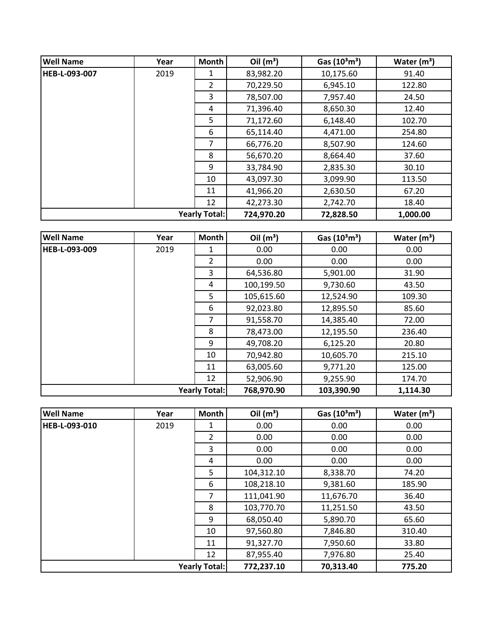| <b>Well Name</b>     | Year | <b>Month</b>  | Oil $(m^3)$                                    | Gas $(10^3 \text{m}^3)$ | Water $(m^3)$ |
|----------------------|------|---------------|------------------------------------------------|-------------------------|---------------|
| HEB-L-093-007        | 2019 | 1             | 83,982.20                                      | 10,175.60               | 91.40         |
|                      |      | $\mathcal{P}$ | 70,229.50                                      | 6,945.10                | 122.80        |
|                      |      | 3             | 78,507.00                                      | 7,957.40                | 24.50         |
|                      |      | 4             | 71,396.40                                      | 8,650.30                | 12.40         |
|                      |      | 5             | 71,172.60                                      | 6,148.40                | 102.70        |
|                      |      | 6             | 65,114.40                                      | 4,471.00                | 254.80        |
|                      |      | 7             | 66,776.20                                      | 8,507.90                | 124.60        |
|                      |      | 8             | 56,670.20                                      | 8,664.40                | 37.60         |
|                      |      | 9             | 33,784.90<br>2,835.30<br>43,097.30<br>3,099.90 | 30.10                   |               |
|                      |      | 10            |                                                |                         | 113.50        |
|                      |      | 11            | 41,966.20                                      | 2,630.50                | 67.20         |
|                      |      | 12            | 42,273.30                                      | 2,742.70                | 18.40         |
| <b>Yearly Total:</b> |      |               | 724,970.20                                     | 72,828.50               | 1,000.00      |

| <b>Well Name</b>     | Year | Month | Oil $(m^3)$ | Gas $(10^3 \text{m}^3)$ | Water $(m^3)$ |
|----------------------|------|-------|-------------|-------------------------|---------------|
| <b>HEB-L-093-009</b> | 2019 | 1     | 0.00        | 0.00                    | 0.00          |
|                      |      | 2     | 0.00        | 0.00                    | 0.00          |
|                      |      | 3     | 64,536.80   | 5,901.00                | 31.90         |
|                      |      | 4     | 100,199.50  | 9,730.60                | 43.50         |
|                      |      | 5     | 105,615.60  | 12,524.90               | 109.30        |
|                      |      | 6     | 92,023.80   | 12,895.50               | 85.60         |
|                      |      | 7     | 91,558.70   | 14,385.40               | 72.00         |
|                      |      | 8     | 78,473.00   | 12,195.50               | 236.40        |
|                      |      | 9     | 49,708.20   | 6,125.20                | 20.80         |
|                      |      | 10    | 70,942.80   | 10,605.70               | 215.10        |
|                      |      | 11    | 63,005.60   | 9,771.20                | 125.00        |
|                      |      | 12    | 52,906.90   | 9,255.90                | 174.70        |
| <b>Yearly Total:</b> |      |       | 768,970.90  | 103,390.90              | 1,114.30      |

| <b>Well Name</b>     | Year | <b>Month</b>   | Oil $(m^3)$ | Gas $(10^3 \text{m}^3)$ | Water $(m^3)$ |
|----------------------|------|----------------|-------------|-------------------------|---------------|
| <b>HEB-L-093-010</b> | 2019 | 1              | 0.00        | 0.00                    | 0.00          |
|                      |      | $\overline{2}$ | 0.00        | 0.00                    | 0.00          |
|                      |      | 3              | 0.00        | 0.00                    | 0.00          |
|                      |      | 4              | 0.00        | 0.00                    | 0.00          |
|                      |      | 5              | 104,312.10  | 8,338.70                | 74.20         |
|                      |      | 6              | 108,218.10  | 9,381.60                | 185.90        |
|                      |      | 7              | 111,041.90  | 11,676.70               | 36.40         |
|                      |      | 8              | 103,770.70  | 11,251.50               | 43.50         |
|                      |      | 9              | 68,050.40   | 5,890.70                | 65.60         |
|                      |      | 10             | 97,560.80   | 7,846.80                | 310.40        |
|                      |      | 11             | 91,327.70   | 7,950.60                | 33.80         |
|                      |      | 12             | 87,955.40   | 7,976.80                | 25.40         |
| <b>Yearly Total:</b> |      |                | 772,237.10  | 70,313.40               | 775.20        |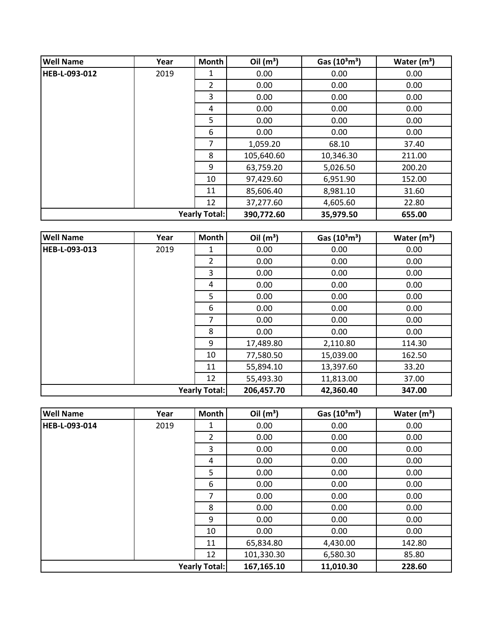| <b>Well Name</b> | Year | <b>Month</b>         | Oil $(m^3)$ | Gas $(10^3 \text{m}^3)$ | Water $(m^3)$ |
|------------------|------|----------------------|-------------|-------------------------|---------------|
| HEB-L-093-012    | 2019 | 1                    | 0.00        | 0.00                    | 0.00          |
|                  |      | 2                    | 0.00        | 0.00                    | 0.00          |
|                  |      | 3                    | 0.00        | 0.00                    | 0.00          |
|                  |      | 4                    | 0.00        | 0.00                    | 0.00          |
|                  |      | 5                    | 0.00        | 0.00                    | 0.00          |
|                  |      | 6                    | 0.00        | 0.00                    | 0.00          |
|                  |      | 7                    | 1,059.20    | 68.10                   | 37.40         |
|                  |      | 8                    | 105,640.60  | 10,346.30               | 211.00        |
|                  |      | 9                    | 63,759.20   | 5,026.50                | 200.20        |
|                  |      | 10                   | 97,429.60   | 6,951.90                | 152.00        |
|                  |      | 11                   | 85,606.40   | 8,981.10                | 31.60         |
|                  |      | 12                   | 37,277.60   | 4,605.60                | 22.80         |
|                  |      | <b>Yearly Total:</b> | 390,772.60  | 35,979.50               | 655.00        |

| <b>Well Name</b>     | Year | Month          | Oil $(m^3)$ | Gas $(10^3 \text{m}^3)$ | Water $(m^3)$ |
|----------------------|------|----------------|-------------|-------------------------|---------------|
| HEB-L-093-013        | 2019 | $\mathbf{1}$   | 0.00        | 0.00                    | 0.00          |
|                      |      | $\overline{2}$ | 0.00        | 0.00                    | 0.00          |
|                      |      | 3              | 0.00        | 0.00                    | 0.00          |
|                      |      | 4              | 0.00        | 0.00                    | 0.00          |
|                      |      | 5              | 0.00        | 0.00                    | 0.00          |
|                      |      | 6              | 0.00        | 0.00                    | 0.00          |
|                      |      | 7              | 0.00        | 0.00                    | 0.00          |
|                      |      | 8              | 0.00        | 0.00                    | 0.00          |
|                      |      | 9              | 17,489.80   | 2,110.80                | 114.30        |
|                      |      | 10             | 77,580.50   | 15,039.00               | 162.50        |
|                      |      | 11             | 55,894.10   | 13,397.60               | 33.20         |
|                      |      | 12             | 55,493.30   | 11,813.00               | 37.00         |
| <b>Yearly Total:</b> |      |                | 206,457.70  | 42,360.40               | 347.00        |

| <b>Well Name</b>     | Year | Month          | Oil $(m^3)$ | Gas $(10^3 \text{m}^3)$ | Water $(m^3)$ |
|----------------------|------|----------------|-------------|-------------------------|---------------|
| HEB-L-093-014        | 2019 | 1              | 0.00        | 0.00                    | 0.00          |
|                      |      | $\overline{2}$ | 0.00        | 0.00                    | 0.00          |
|                      |      | 3              | 0.00        | 0.00                    | 0.00          |
|                      |      | 4              | 0.00        | 0.00                    | 0.00          |
|                      |      | 5              | 0.00        | 0.00                    | 0.00          |
|                      |      | 6              | 0.00        | 0.00                    | 0.00          |
|                      |      | 7              | 0.00        | 0.00                    | 0.00          |
|                      |      | 8              | 0.00        | 0.00                    | 0.00          |
|                      |      | 9              | 0.00        | 0.00                    | 0.00          |
|                      |      | 10             | 0.00        | 0.00                    | 0.00          |
|                      |      | 11             | 65,834.80   | 4,430.00                | 142.80        |
|                      |      | 12             | 101,330.30  | 6,580.30                | 85.80         |
| <b>Yearly Total:</b> |      |                | 167,165.10  | 11,010.30               | 228.60        |